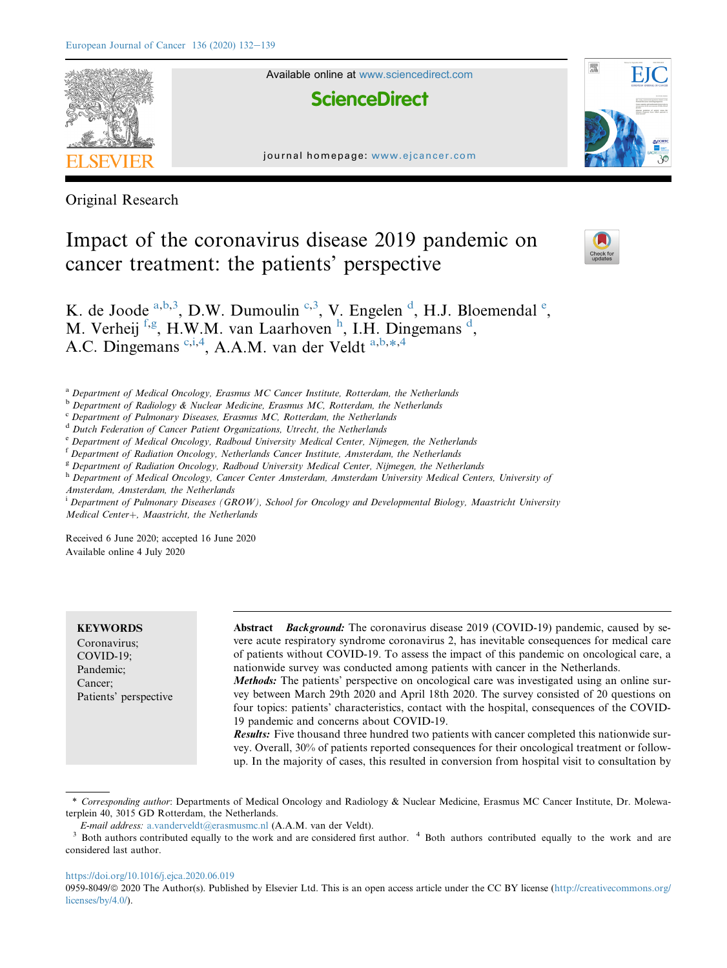

Original Research

# Impact of the coronavirus disease 2019 pandemic on cancer treatment: the patients' perspective



K. [d](#page-0-4)[e](#page-0-5) Joode  $a,b,3$  $a,b,3$  $a,b,3$ , D.W. Dumoulin  $c,3$  $c,3$ , V. Engelen  $d$ , H.J. Bloemendal  $e$ , M. Verheij [f](#page-0-6),[g](#page-0-7), H.W.M. van Laar[h](#page-0-8)oven h, I.H. Dingemans [d](#page-0-4), A.C. Dingemans <sup>[c,](#page-0-3)[i](#page-0-9),[4](#page-0-2)</sup>, A.A.M. v[a](#page-0-0)n der Veldt <sup>a,[b](#page-0-1),[\\*](#page-0-10),4</sup>

<span id="page-0-0"></span><sup>a</sup> Department of Medical Oncology, Erasmus MC Cancer Institute, Rotterdam, the Netherlands

- <span id="page-0-1"></span>b Department of Radiology & Nuclear Medicine, Erasmus MC, Rotterdam, the Netherlands
- <span id="page-0-3"></span> $c$  Department of Pulmonary Diseases, Erasmus MC, Rotterdam, the Netherlands
- <span id="page-0-4"></span><sup>d</sup> Dutch Federation of Cancer Patient Organizations, Utrecht, the Netherlands
- <span id="page-0-5"></span><sup>e</sup> Department of Medical Oncology, Radboud University Medical Center, Nijmegen, the Netherlands
- <span id="page-0-6"></span><sup>f</sup> Department of Radiation Oncology, Netherlands Cancer Institute, Amsterdam, the Netherlands
- <span id="page-0-7"></span><sup>g</sup> Department of Radiation Oncology, Radboud University Medical Center, Nijmegen, the Netherlands
- <span id="page-0-8"></span><sup>h</sup> Department of Medical Oncology, Cancer Center Amsterdam, Amsterdam University Medical Centers, University of Amsterdam, Amsterdam, the Netherlands
- <span id="page-0-9"></span><sup>i</sup> Department of Pulmonary Diseases (GROW), School for Oncology and Developmental Biology, Maastricht University Medical Center+, Maastricht, the Netherlands

Received 6 June 2020; accepted 16 June 2020 Available online 4 July 2020

**KEYWORDS** Coronavirus; COVID-19; Pandemic; Cancer; Patients' perspective

Abstract *Background*: The coronavirus disease 2019 (COVID-19) pandemic, caused by severe acute respiratory syndrome coronavirus 2, has inevitable consequences for medical care of patients without COVID-19. To assess the impact of this pandemic on oncological care, a nationwide survey was conducted among patients with cancer in the Netherlands.

Methods: The patients' perspective on oncological care was investigated using an online survey between March 29th 2020 and April 18th 2020. The survey consisted of 20 questions on four topics: patients' characteristics, contact with the hospital, consequences of the COVID-19 pandemic and concerns about COVID-19.

**Results:** Five thousand three hundred two patients with cancer completed this nationwide survey. Overall, 30% of patients reported consequences for their oncological treatment or followup. In the majority of cases, this resulted in conversion from hospital visit to consultation by

<https://doi.org/10.1016/j.ejca.2020.06.019>

<span id="page-0-10"></span><sup>\*</sup> Corresponding author: Departments of Medical Oncology and Radiology & Nuclear Medicine, Erasmus MC Cancer Institute, Dr. Molewaterplein 40, 3015 GD Rotterdam, the Netherlands.

<span id="page-0-2"></span>E-mail address: [a.vanderveldt@erasmusmc.nl](mailto:a.vanderveldt@erasmusmc.nl) (A.A.M. van der Veldt).  $4$  Both authors contributed equally to the work and are  $3$  Both authors contributed equally to the work and are considered last author.

<sup>0959-8049/</sup> $\circ$  2020 The Author(s). Published by Elsevier Ltd. This is an open access article under the CC BY license [\(http://creativecommons.org/](http://creativecommons.org/licenses/by/4.0/) [licenses/by/4.0/](http://creativecommons.org/licenses/by/4.0/)).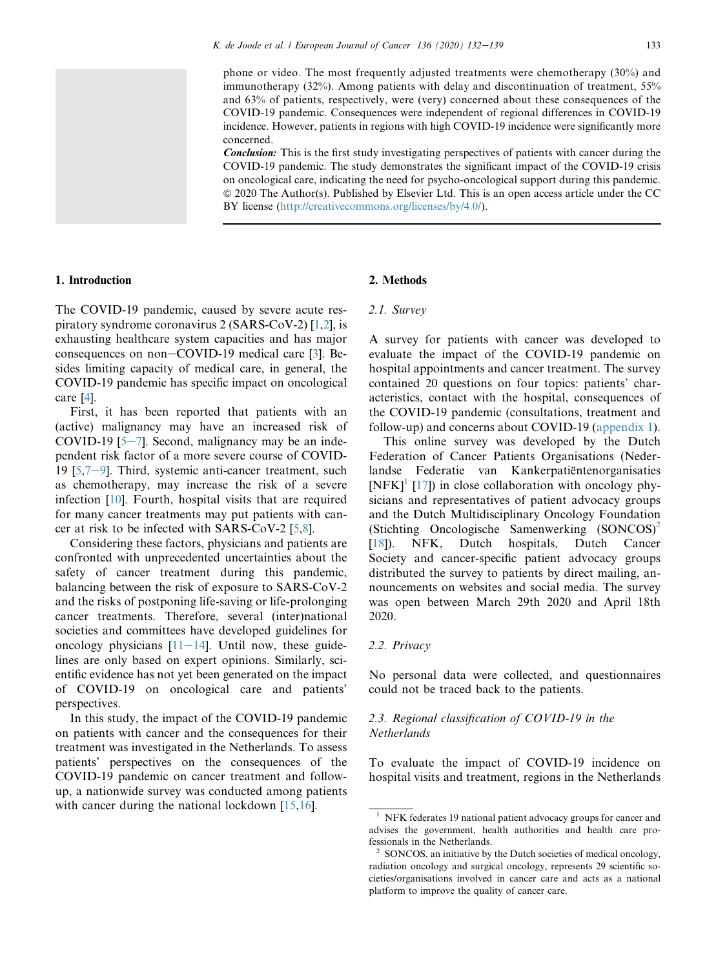phone or video. The most frequently adjusted treatments were chemotherapy (30%) and immunotherapy (32%). Among patients with delay and discontinuation of treatment, 55% and 63% of patients, respectively, were (very) concerned about these consequences of the COVID-19 pandemic. Consequences were independent of regional differences in COVID-19 incidence. However, patients in regions with high COVID-19 incidence were significantly more concerned.

Conclusion: This is the first study investigating perspectives of patients with cancer during the COVID-19 pandemic. The study demonstrates the significant impact of the COVID-19 crisis on oncological care, indicating the need for psycho-oncological support during this pandemic. ª 2020 The Author(s). Published by Elsevier Ltd. This is an open access article under the CC BY license (<http://creativecommons.org/licenses/by/4.0/>).



## 1. Introduction

The COVID-19 pandemic, caused by severe acute respiratory syndrome coronavirus 2 (SARS-CoV-2) [\[1](#page-7-0)[,2\]](#page-7-1), is exhausting healthcare system capacities and has major consequences on non $-COVID-19$  medical care [\[3](#page-7-2)]. Besides limiting capacity of medical care, in general, the COVID-19 pandemic has specific impact on oncological care [[4\]](#page-7-3).

First, it has been reported that patients with an (active) malignancy may have an increased risk of COVID-19  $[5-7]$  $[5-7]$  $[5-7]$  $[5-7]$  $[5-7]$ . Second, malignancy may be an independent risk factor of a more severe course of COVID-19  $[5,7-9]$  $[5,7-9]$  $[5,7-9]$  $[5,7-9]$  $[5,7-9]$ . Third, systemic anti-cancer treatment, such as chemotherapy, may increase the risk of a severe infection [[10](#page-7-6)]. Fourth, hospital visits that are required for many cancer treatments may put patients with cancer at risk to be infected with SARS-CoV-2 [\[5](#page-7-4),[8\]](#page-7-7).

Considering these factors, physicians and patients are confronted with unprecedented uncertainties about the safety of cancer treatment during this pandemic, balancing between the risk of exposure to SARS-CoV-2 and the risks of postponing life-saving or life-prolonging cancer treatments. Therefore, several (inter)national societies and committees have developed guidelines for oncology physicians  $[11-14]$  $[11-14]$  $[11-14]$  $[11-14]$  $[11-14]$ . Until now, these guidelines are only based on expert opinions. Similarly, scientific evidence has not yet been generated on the impact of COVID-19 on oncological care and patients' perspectives.

In this study, the impact of the COVID-19 pandemic on patients with cancer and the consequences for their treatment was investigated in the Netherlands. To assess patients' perspectives on the consequences of the COVID-19 pandemic on cancer treatment and followup, a nationwide survey was conducted among patients with cancer during the national lockdown [\[15](#page-7-9)[,16](#page-7-10)].

## 2. Methods

#### 2.1. Survey

A survey for patients with cancer was developed to evaluate the impact of the COVID-19 pandemic on hospital appointments and cancer treatment. The survey contained 20 questions on four topics: patients' characteristics, contact with the hospital, consequences of the COVID-19 pandemic (consultations, treatment and follow-up) and concerns about COVID-19 (appendix 1).

This online survey was developed by the Dutch Federation of Cancer Patients Organisations (Nederlandse Federatie van Kankerpatiëntenorganisaties  $[NFK]$ <sup>[1](#page-1-0)</sup> [[17\]](#page-7-11)) in close collaboration with oncology physicians and representatives of patient advocacy groups and the Dutch Multidisciplinary Oncology Foundation (Stichting Oncologische Samenwerking (SONCOS)[2](#page-1-1) [\[18](#page-7-12)]). NFK, Dutch hospitals, Dutch Cancer Society and cancer-specific patient advocacy groups distributed the survey to patients by direct mailing, announcements on websites and social media. The survey was open between March 29th 2020 and April 18th 2020.

#### 2.2. Privacy

No personal data were collected, and questionnaires could not be traced back to the patients.

## 2.3. Regional classification of COVID-19 in the **Netherlands**

To evaluate the impact of COVID-19 incidence on hospital visits and treatment, regions in the Netherlands

<span id="page-1-0"></span><sup>&</sup>lt;sup>1</sup> NFK federates 19 national patient advocacy groups for cancer and advises the government, health authorities and health care professionals in the Netherlands.

<span id="page-1-1"></span><sup>2</sup> SONCOS, an initiative by the Dutch societies of medical oncology, radiation oncology and surgical oncology, represents 29 scientific societies/organisations involved in cancer care and acts as a national platform to improve the quality of cancer care.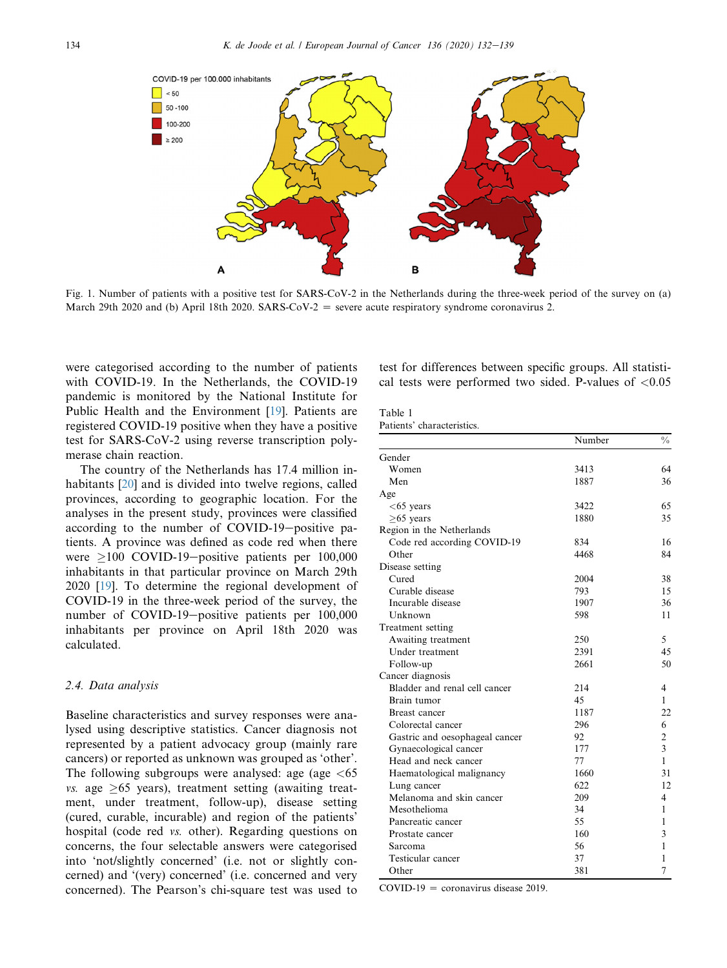<span id="page-2-0"></span>

Fig. 1. Number of patients with a positive test for SARS-CoV-2 in the Netherlands during the three-week period of the survey on (a) March 29th 2020 and (b) April 18th 2020. SARS-CoV-2  $=$  severe acute respiratory syndrome coronavirus 2.

were categorised according to the number of patients with COVID-19. In the Netherlands, the COVID-19 pandemic is monitored by the National Institute for Public Health and the Environment [[19\]](#page-7-13). Patients are registered COVID-19 positive when they have a positive test for SARS-CoV-2 using reverse transcription polymerase chain reaction.

The country of the Netherlands has 17.4 million in-habitants [[20\]](#page-7-14) and is divided into twelve regions, called provinces, according to geographic location. For the analyses in the present study, provinces were classified according to the number of COVID-19-positive patients. A province was defined as code red when there were  $\geq$ 100 COVID-19-positive patients per 100,000 inhabitants in that particular province on March 29th 2020 [[19\]](#page-7-13). To determine the regional development of COVID-19 in the three-week period of the survey, the number of COVID-19-positive patients per 100,000 inhabitants per province on April 18th 2020 was calculated.

#### 2.4. Data analysis

Baseline characteristics and survey responses were analysed using descriptive statistics. Cancer diagnosis not represented by a patient advocacy group (mainly rare cancers) or reported as unknown was grouped as 'other'. The following subgroups were analysed: age (age  $\lt 65$ )  $vs.$  age  $\geq 65$  years), treatment setting (awaiting treatment, under treatment, follow-up), disease setting (cured, curable, incurable) and region of the patients' hospital (code red vs. other). Regarding questions on concerns, the four selectable answers were categorised into 'not/slightly concerned' (i.e. not or slightly concerned) and '(very) concerned' (i.e. concerned and very concerned). The Pearson's chi-square test was used to test for differences between specific groups. All statistical tests were performed two sided. P-values of  $< 0.05$ 

#### <span id="page-2-1"></span>Table 1 Patients' characteristics.

|                                | Number | $\frac{0}{0}$  |
|--------------------------------|--------|----------------|
| Gender                         |        |                |
| Women                          | 3413   | 64             |
| Men                            | 1887   | 36             |
| Age                            |        |                |
| $<$ 65 years                   | 3422   | 65             |
| $\geq$ 65 years                | 1880   | 35             |
| Region in the Netherlands      |        |                |
| Code red according COVID-19    | 834    | 16             |
| Other                          | 4468   | 84             |
| Disease setting                |        |                |
| Cured                          | 2004   | 38             |
| Curable disease                | 793    | 15             |
| Incurable disease              | 1907   | 36             |
| Unknown                        | 598    | 11             |
| Treatment setting              |        |                |
| Awaiting treatment             | 250    | 5              |
| Under treatment                | 2391   | 45             |
| Follow-up                      | 2661   | 50             |
| Cancer diagnosis               |        |                |
| Bladder and renal cell cancer  | 214    | 4              |
| Brain tumor                    | 45     | 1              |
| Breast cancer                  | 1187   | 22             |
| Colorectal cancer              | 296    | 6              |
| Gastric and oesophageal cancer | 92     | $\overline{c}$ |
| Gynaecological cancer          | 177    | 3              |
| Head and neck cancer           | 77     | 1              |
| Haematological malignancy      | 1660   | 31             |
| Lung cancer                    | 622    | 12             |
| Melanoma and skin cancer       | 209    | 4              |
| Mesothelioma                   | 34     | 1              |
| Pancreatic cancer              | 55     | 1              |
| Prostate cancer                | 160    | 3              |
| Sarcoma                        | 56     | 1              |
| Testicular cancer              | 37     | 1              |
| Other                          | 381    | 7              |
|                                |        |                |

COVID-19 = coronavirus disease 2019.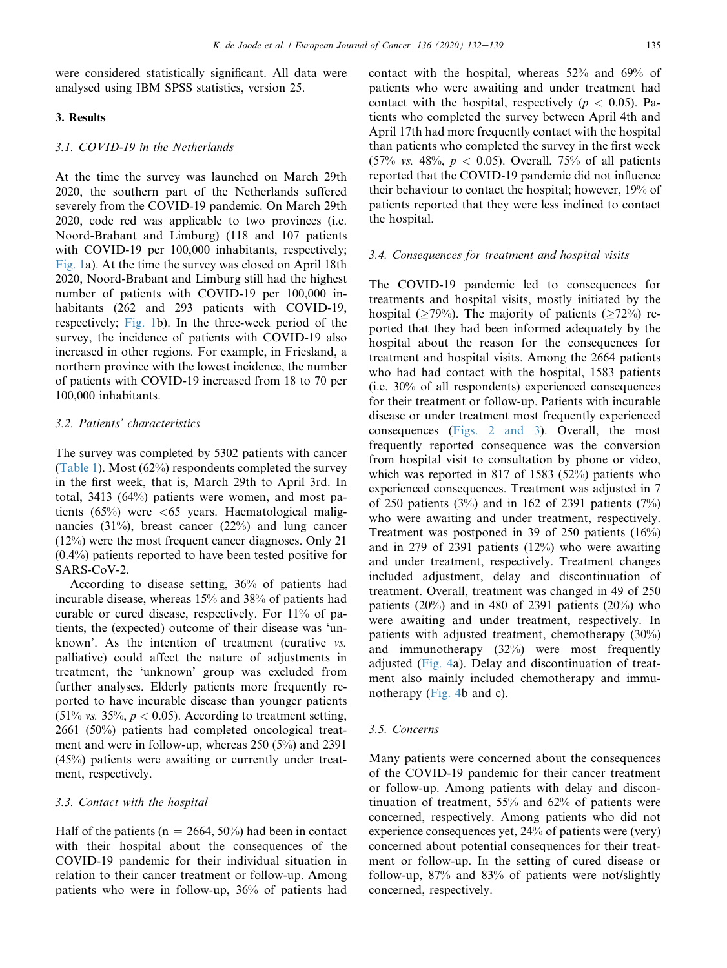were considered statistically significant. All data were analysed using IBM SPSS statistics, version 25.

## 3. Results

#### 3.1. COVID-19 in the Netherlands

At the time the survey was launched on March 29th 2020, the southern part of the Netherlands suffered severely from the COVID-19 pandemic. On March 29th 2020, code red was applicable to two provinces (i.e. Noord-Brabant and Limburg) (118 and 107 patients with COVID-19 per 100,000 inhabitants, respectively; [Fig. 1a](#page-2-0)). At the time the survey was closed on April 18th 2020, Noord-Brabant and Limburg still had the highest number of patients with COVID-19 per 100,000 inhabitants (262 and 293 patients with COVID-19, respectively; [Fig. 1](#page-2-0)b). In the three-week period of the survey, the incidence of patients with COVID-19 also increased in other regions. For example, in Friesland, a northern province with the lowest incidence, the number of patients with COVID-19 increased from 18 to 70 per 100,000 inhabitants.

#### 3.2. Patients' characteristics

The survey was completed by 5302 patients with cancer ([Table 1](#page-2-1)). Most (62%) respondents completed the survey in the first week, that is, March 29th to April 3rd. In total, 3413 (64%) patients were women, and most patients  $(65\%)$  were  $\lt 65$  years. Haematological malignancies (31%), breast cancer (22%) and lung cancer (12%) were the most frequent cancer diagnoses. Only 21 (0.4%) patients reported to have been tested positive for SARS-CoV-2.

According to disease setting, 36% of patients had incurable disease, whereas 15% and 38% of patients had curable or cured disease, respectively. For 11% of patients, the (expected) outcome of their disease was 'unknown'. As the intention of treatment (curative vs. palliative) could affect the nature of adjustments in treatment, the 'unknown' group was excluded from further analyses. Elderly patients more frequently reported to have incurable disease than younger patients  $(51\%$  vs. 35%,  $p < 0.05$ ). According to treatment setting, 2661 (50%) patients had completed oncological treatment and were in follow-up, whereas 250 (5%) and 2391 (45%) patients were awaiting or currently under treatment, respectively.

## 3.3. Contact with the hospital

Half of the patients ( $n = 2664$ , 50%) had been in contact with their hospital about the consequences of the COVID-19 pandemic for their individual situation in relation to their cancer treatment or follow-up. Among patients who were in follow-up, 36% of patients had contact with the hospital, whereas 52% and 69% of patients who were awaiting and under treatment had contact with the hospital, respectively ( $p < 0.05$ ). Patients who completed the survey between April 4th and April 17th had more frequently contact with the hospital than patients who completed the survey in the first week (57% vs. 48%, p < 0.05). Overall, 75% of all patients reported that the COVID-19 pandemic did not influence their behaviour to contact the hospital; however, 19% of patients reported that they were less inclined to contact the hospital.

#### 3.4. Consequences for treatment and hospital visits

The COVID-19 pandemic led to consequences for treatments and hospital visits, mostly initiated by the hospital ( $\geq$ 79%). The majority of patients ( $\geq$ 72%) reported that they had been informed adequately by the hospital about the reason for the consequences for treatment and hospital visits. Among the 2664 patients who had had contact with the hospital, 1583 patients (i.e. 30% of all respondents) experienced consequences for their treatment or follow-up. Patients with incurable disease or under treatment most frequently experienced consequences [\(Figs. 2 and 3\)](#page-4-0). Overall, the most frequently reported consequence was the conversion from hospital visit to consultation by phone or video, which was reported in 817 of 1583 (52%) patients who experienced consequences. Treatment was adjusted in 7 of 250 patients  $(3\%)$  and in 162 of 2391 patients  $(7\%)$ who were awaiting and under treatment, respectively. Treatment was postponed in 39 of 250 patients (16%) and in 279 of 2391 patients (12%) who were awaiting and under treatment, respectively. Treatment changes included adjustment, delay and discontinuation of treatment. Overall, treatment was changed in 49 of 250 patients  $(20\%)$  and in 480 of 2391 patients  $(20\%)$  who were awaiting and under treatment, respectively. In patients with adjusted treatment, chemotherapy (30%) and immunotherapy (32%) were most frequently adjusted [\(Fig. 4](#page-5-0)a). Delay and discontinuation of treatment also mainly included chemotherapy and immunotherapy ([Fig. 4b](#page-5-0) and c).

### 3.5. Concerns

Many patients were concerned about the consequences of the COVID-19 pandemic for their cancer treatment or follow-up. Among patients with delay and discontinuation of treatment, 55% and 62% of patients were concerned, respectively. Among patients who did not experience consequences yet, 24% of patients were (very) concerned about potential consequences for their treatment or follow-up. In the setting of cured disease or follow-up, 87% and 83% of patients were not/slightly concerned, respectively.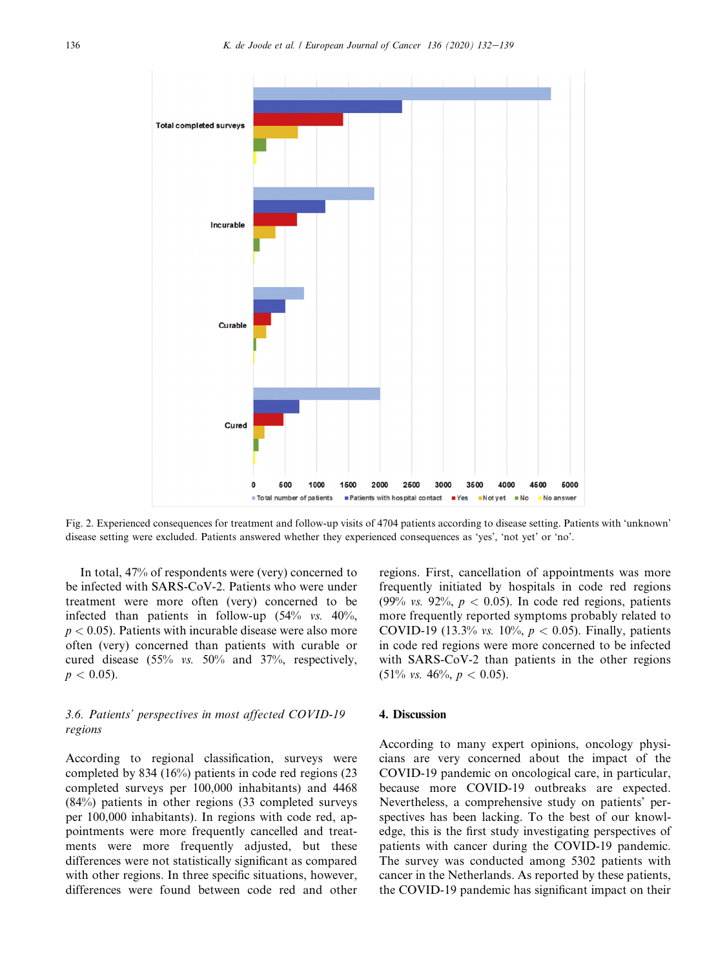<span id="page-4-0"></span>

Fig. 2. Experienced consequences for treatment and follow-up visits of 4704 patients according to disease setting. Patients with 'unknown' disease setting were excluded. Patients answered whether they experienced consequences as 'yes', 'not yet' or 'no'.

In total, 47% of respondents were (very) concerned to be infected with SARS-CoV-2. Patients who were under treatment were more often (very) concerned to be infected than patients in follow-up  $(54\% \text{ vs. } 40\%$ ,  $p < 0.05$ ). Patients with incurable disease were also more often (very) concerned than patients with curable or cured disease (55% vs. 50% and 37%, respectively,  $p < 0.05$ ).

## 3.6. Patients' perspectives in most affected COVID-19 regions

According to regional classification, surveys were completed by 834 (16%) patients in code red regions (23 completed surveys per 100,000 inhabitants) and 4468 (84%) patients in other regions (33 completed surveys per 100,000 inhabitants). In regions with code red, appointments were more frequently cancelled and treatments were more frequently adjusted, but these differences were not statistically significant as compared with other regions. In three specific situations, however, differences were found between code red and other regions. First, cancellation of appointments was more frequently initiated by hospitals in code red regions (99% vs. 92%,  $p < 0.05$ ). In code red regions, patients more frequently reported symptoms probably related to COVID-19 (13.3% vs. 10%,  $p < 0.05$ ). Finally, patients in code red regions were more concerned to be infected with SARS-CoV-2 than patients in the other regions  $(51\% \text{ vs. } 46\%, p < 0.05).$ 

### 4. Discussion

According to many expert opinions, oncology physicians are very concerned about the impact of the COVID-19 pandemic on oncological care, in particular, because more COVID-19 outbreaks are expected. Nevertheless, a comprehensive study on patients' perspectives has been lacking. To the best of our knowledge, this is the first study investigating perspectives of patients with cancer during the COVID-19 pandemic. The survey was conducted among 5302 patients with cancer in the Netherlands. As reported by these patients, the COVID-19 pandemic has significant impact on their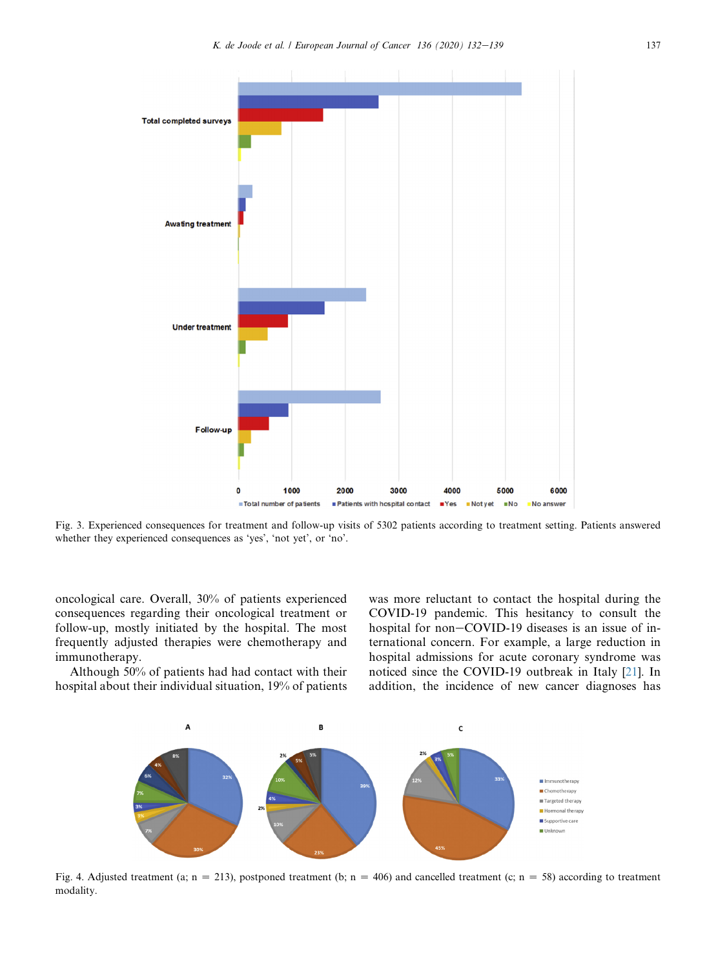

Fig. 3. Experienced consequences for treatment and follow-up visits of 5302 patients according to treatment setting. Patients answered whether they experienced consequences as 'yes', 'not yet', or 'no'.

oncological care. Overall, 30% of patients experienced consequences regarding their oncological treatment or follow-up, mostly initiated by the hospital. The most frequently adjusted therapies were chemotherapy and immunotherapy.

<span id="page-5-0"></span>Although 50% of patients had had contact with their hospital about their individual situation, 19% of patients was more reluctant to contact the hospital during the COVID-19 pandemic. This hesitancy to consult the hospital for non-COVID-19 diseases is an issue of international concern. For example, a large reduction in hospital admissions for acute coronary syndrome was noticed since the COVID-19 outbreak in Italy [[21\]](#page-7-15). In addition, the incidence of new cancer diagnoses has



Fig. 4. Adjusted treatment (a; n = 213), postponed treatment (b; n = 406) and cancelled treatment (c; n = 58) according to treatment modality.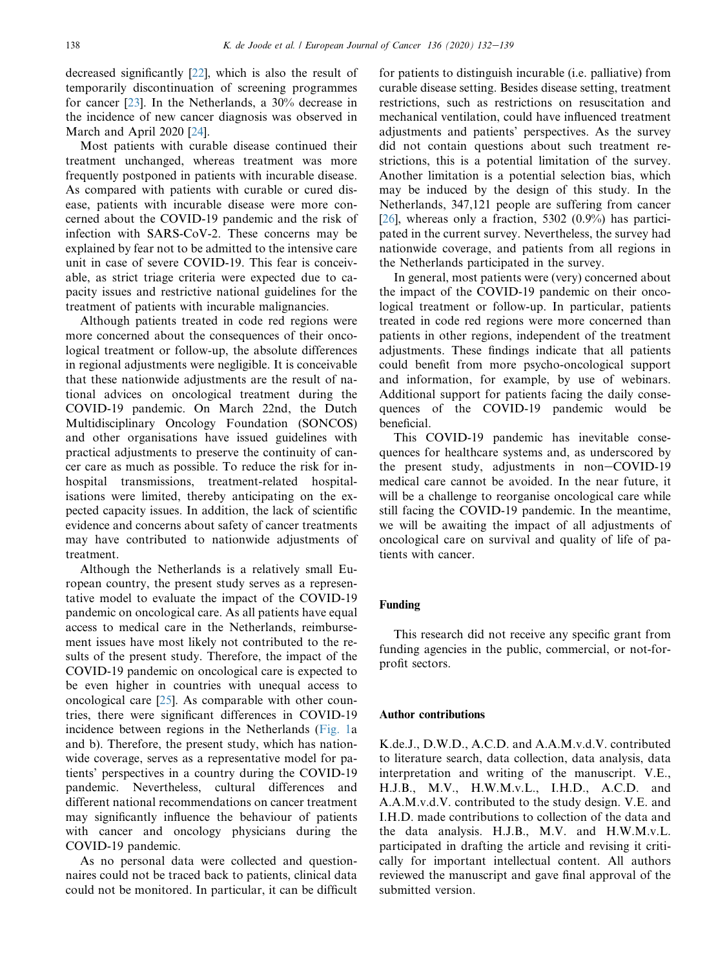decreased significantly [\[22](#page-7-16)], which is also the result of temporarily discontinuation of screening programmes for cancer [[23\]](#page-7-17). In the Netherlands, a 30% decrease in the incidence of new cancer diagnosis was observed in March and April 2020 [[24\]](#page-7-18).

Most patients with curable disease continued their treatment unchanged, whereas treatment was more frequently postponed in patients with incurable disease. As compared with patients with curable or cured disease, patients with incurable disease were more concerned about the COVID-19 pandemic and the risk of infection with SARS-CoV-2. These concerns may be explained by fear not to be admitted to the intensive care unit in case of severe COVID-19. This fear is conceivable, as strict triage criteria were expected due to capacity issues and restrictive national guidelines for the treatment of patients with incurable malignancies.

Although patients treated in code red regions were more concerned about the consequences of their oncological treatment or follow-up, the absolute differences in regional adjustments were negligible. It is conceivable that these nationwide adjustments are the result of national advices on oncological treatment during the COVID-19 pandemic. On March 22nd, the Dutch Multidisciplinary Oncology Foundation (SONCOS) and other organisations have issued guidelines with practical adjustments to preserve the continuity of cancer care as much as possible. To reduce the risk for inhospital transmissions, treatment-related hospitalisations were limited, thereby anticipating on the expected capacity issues. In addition, the lack of scientific evidence and concerns about safety of cancer treatments may have contributed to nationwide adjustments of treatment.

Although the Netherlands is a relatively small European country, the present study serves as a representative model to evaluate the impact of the COVID-19 pandemic on oncological care. As all patients have equal access to medical care in the Netherlands, reimbursement issues have most likely not contributed to the results of the present study. Therefore, the impact of the COVID-19 pandemic on oncological care is expected to be even higher in countries with unequal access to oncological care [[25\]](#page-7-19). As comparable with other countries, there were significant differences in COVID-19 incidence between regions in the Netherlands ([Fig. 1a](#page-2-0) and b). Therefore, the present study, which has nationwide coverage, serves as a representative model for patients' perspectives in a country during the COVID-19 pandemic. Nevertheless, cultural differences and different national recommendations on cancer treatment may significantly influence the behaviour of patients with cancer and oncology physicians during the COVID-19 pandemic.

As no personal data were collected and questionnaires could not be traced back to patients, clinical data could not be monitored. In particular, it can be difficult for patients to distinguish incurable (i.e. palliative) from curable disease setting. Besides disease setting, treatment restrictions, such as restrictions on resuscitation and mechanical ventilation, could have influenced treatment adjustments and patients' perspectives. As the survey did not contain questions about such treatment restrictions, this is a potential limitation of the survey. Another limitation is a potential selection bias, which may be induced by the design of this study. In the Netherlands, 347,121 people are suffering from cancer [[26](#page-7-20)], whereas only a fraction, 5302  $(0.9\%)$  has participated in the current survey. Nevertheless, the survey had nationwide coverage, and patients from all regions in the Netherlands participated in the survey.

In general, most patients were (very) concerned about the impact of the COVID-19 pandemic on their oncological treatment or follow-up. In particular, patients treated in code red regions were more concerned than patients in other regions, independent of the treatment adjustments. These findings indicate that all patients could benefit from more psycho-oncological support and information, for example, by use of webinars. Additional support for patients facing the daily consequences of the COVID-19 pandemic would be beneficial.

This COVID-19 pandemic has inevitable consequences for healthcare systems and, as underscored by the present study, adjustments in non-COVID-19 medical care cannot be avoided. In the near future, it will be a challenge to reorganise oncological care while still facing the COVID-19 pandemic. In the meantime, we will be awaiting the impact of all adjustments of oncological care on survival and quality of life of patients with cancer.

#### Funding

This research did not receive any specific grant from funding agencies in the public, commercial, or not-forprofit sectors.

### Author contributions

K.de.J., D.W.D., A.C.D. and A.A.M.v.d.V. contributed to literature search, data collection, data analysis, data interpretation and writing of the manuscript. V.E., H.J.B., M.V., H.W.M.v.L., I.H.D., A.C.D. and A.A.M.v.d.V. contributed to the study design. V.E. and I.H.D. made contributions to collection of the data and the data analysis. H.J.B., M.V. and H.W.M.v.L. participated in drafting the article and revising it critically for important intellectual content. All authors reviewed the manuscript and gave final approval of the submitted version.